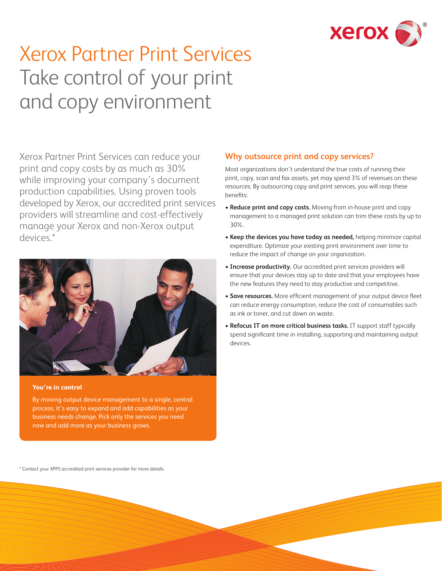

# Xerox Partner Print Services Take control of your print and copy environment

Xerox Partner Print Services can reduce your print and copy costs by as much as 30% while improving your company's document production capabilities. Using proven tools developed by Xerox, our accredited print services providers will streamline and cost-effectively manage your Xerox and non-Xerox output devices.\*



#### **You're in control**

By moving output device management to a single, central process, it's easy to expand and add capabilities as your business needs change. Pick only the services you need now and add more as your business grows.

## **Why outsource print and copy services?**

Most organizations don't understand the true costs of running their print, copy, scan and fax assets, yet may spend 3% of revenues on these resources. By outsourcing copy and print services, you will reap these benefits:

- **Reduce print and copy costs.** Moving from in-house print and copy management to a managed print solution can trim these costs by up to 30%.
- **Keep the devices you have today as needed,** helping minimize capital expenditure. Optimize your existing print environment over time to reduce the impact of change on your organization.
- **Increase productivity.** Our accredited print services providers will ensure that your devices stay up to date and that your employees have the new features they need to stay productive and competitive.
- **Save resources.** More efficient management of your output device fleet can reduce energy consumption, reduce the cost of consumables such as ink or toner, and cut down on waste.
- **Refocus IT on more critical business tasks.** IT support staff typically spend significant time in installing, supporting and maintaining output devices.

\* Contact your XPPS accredited print services provider for more details.